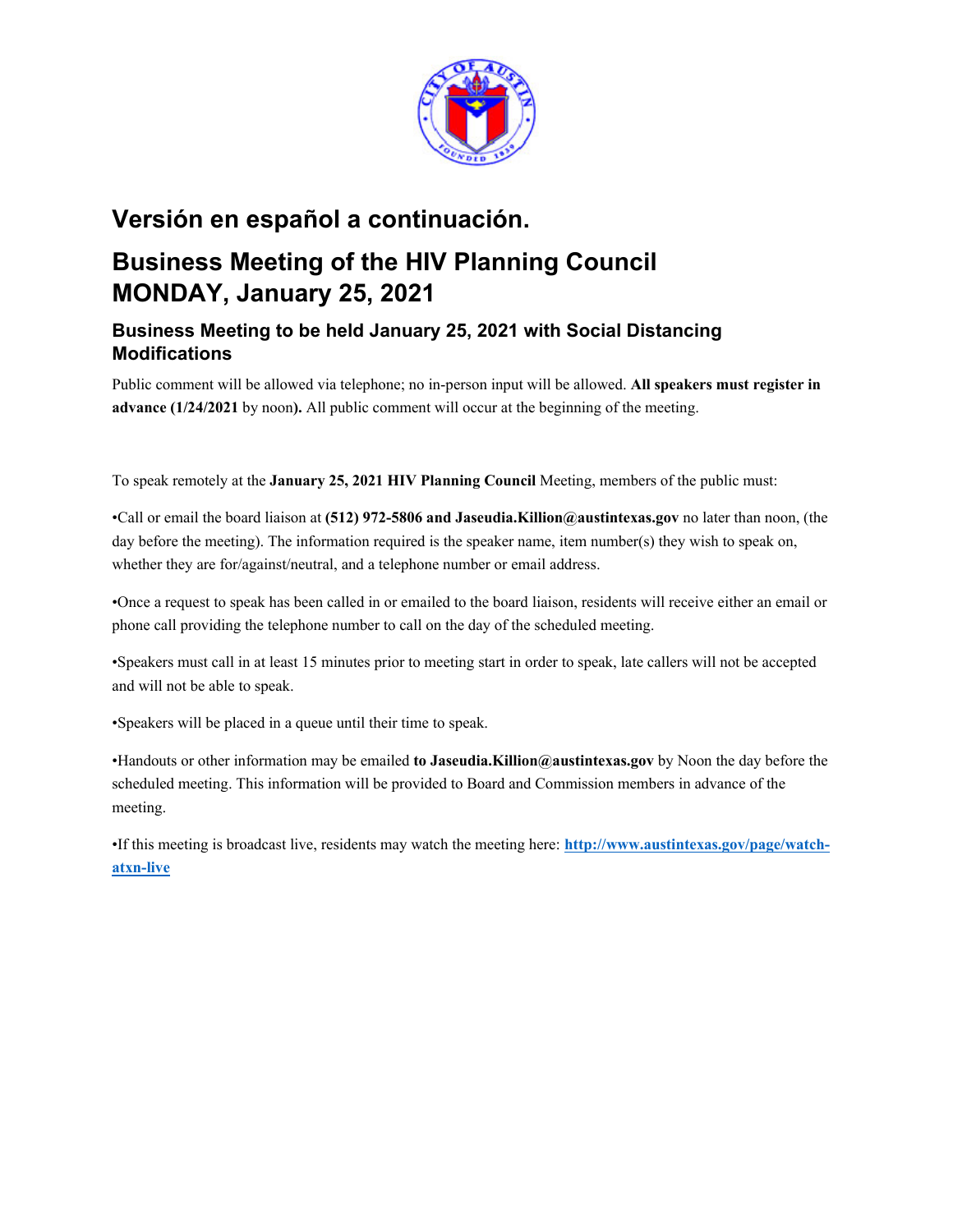

# **Versión en español a continuación.**

# **Business Meeting of the HIV Planning Council MONDAY, January 25, 2021**

# **Business Meeting to be held January 25, 2021 with Social Distancing Modifications**

Public comment will be allowed via telephone; no in-person input will be allowed. **All speakers must register in advance (1/24/2021** by noon**).** All public comment will occur at the beginning of the meeting.

To speak remotely at the **January 25, 2021 HIV Planning Council** Meeting, members of the public must:

•Call or email the board liaison at **(512) 972-5806 and Jaseudia.Killion@austintexas.gov** no later than noon, (the day before the meeting). The information required is the speaker name, item number(s) they wish to speak on, whether they are for/against/neutral, and a telephone number or email address.

•Once a request to speak has been called in or emailed to the board liaison, residents will receive either an email or phone call providing the telephone number to call on the day of the scheduled meeting.

•Speakers must call in at least 15 minutes prior to meeting start in order to speak, late callers will not be accepted and will not be able to speak.

•Speakers will be placed in a queue until their time to speak.

•Handouts or other information may be emailed **to Jaseudia.Killion@austintexas.gov** by Noon the day before the scheduled meeting. This information will be provided to Board and Commission members in advance of the meeting.

•If this meeting is broadcast live, residents may watch the meeting here: **http://www.austintexas.gov/page/watchatxn-live**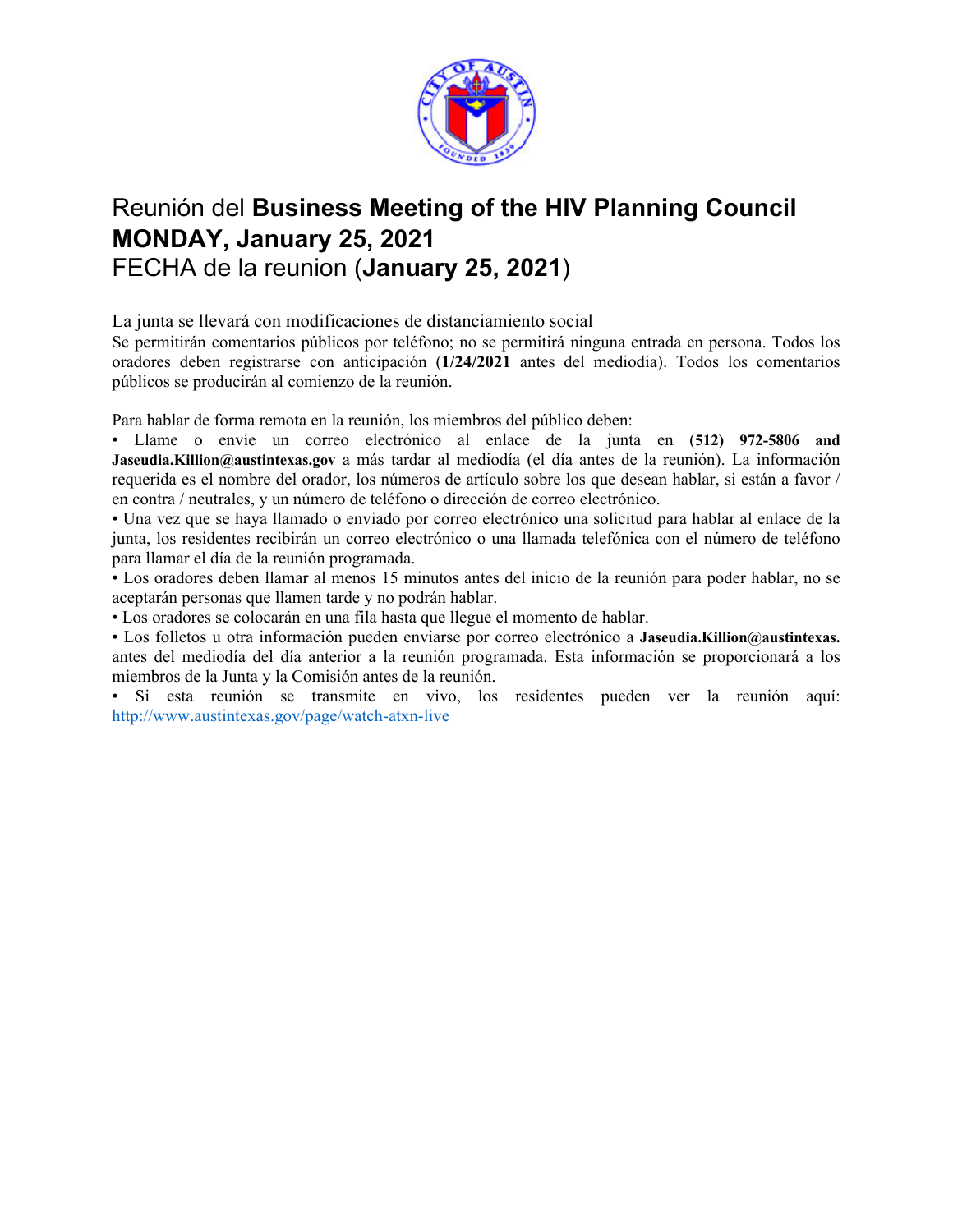

# Reunión del **Business Meeting of the HIV Planning Council MONDAY, January 25, 2021**  FECHA de la reunion (**January 25, 2021**)

La junta se llevará con modificaciones de distanciamiento social

Se permitirán comentarios públicos por teléfono; no se permitirá ninguna entrada en persona. Todos los oradores deben registrarse con anticipación (**1/24/2021** antes del mediodía). Todos los comentarios públicos se producirán al comienzo de la reunión.

Para hablar de forma remota en la reunión, los miembros del público deben:

• Llame o envíe un correo electrónico al enlace de la junta en (**512) 972-5806 and Jaseudia.Killion@austintexas.gov** a más tardar al mediodía (el día antes de la reunión). La información requerida es el nombre del orador, los números de artículo sobre los que desean hablar, si están a favor / en contra / neutrales, y un número de teléfono o dirección de correo electrónico.

• Una vez que se haya llamado o enviado por correo electrónico una solicitud para hablar al enlace de la junta, los residentes recibirán un correo electrónico o una llamada telefónica con el número de teléfono para llamar el día de la reunión programada.

• Los oradores deben llamar al menos 15 minutos antes del inicio de la reunión para poder hablar, no se aceptarán personas que llamen tarde y no podrán hablar.

• Los oradores se colocarán en una fila hasta que llegue el momento de hablar.

• Los folletos u otra información pueden enviarse por correo electrónico a **Jaseudia.Killion@austintexas.** antes del mediodía del día anterior a la reunión programada. Esta información se proporcionará a los miembros de la Junta y la Comisión antes de la reunión.

• Si esta reunión se transmite en vivo, los residentes pueden ver la reunión aquí: http://www.austintexas.gov/page/watch-atxn-live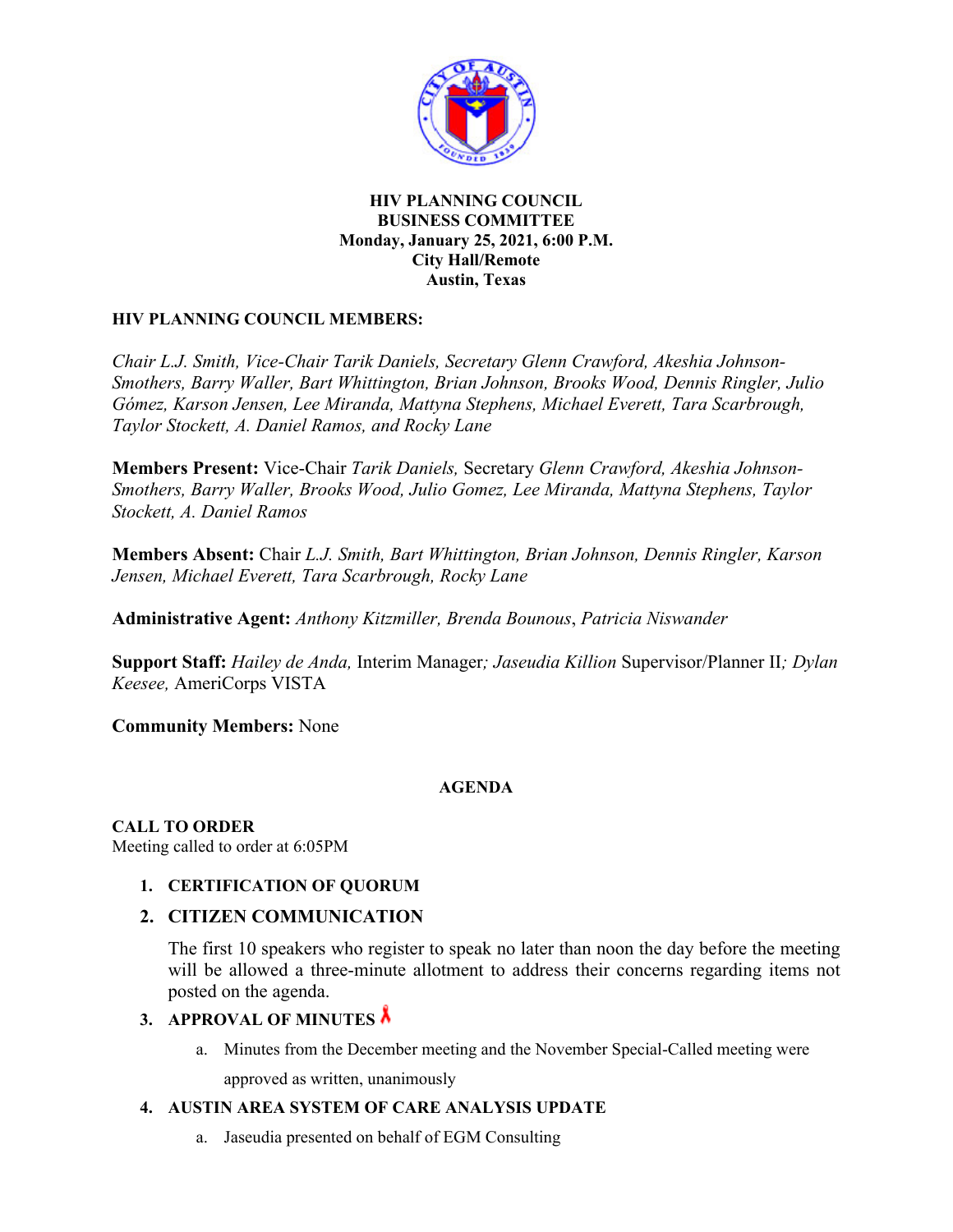

#### **HIV PLANNING COUNCIL BUSINESS COMMITTEE Monday, January 25, 2021, 6:00 P.M. City Hall/Remote Austin, Texas**

### **HIV PLANNING COUNCIL MEMBERS:**

*Chair L.J. Smith, Vice-Chair Tarik Daniels, Secretary Glenn Crawford, Akeshia Johnson-Smothers, Barry Waller, Bart Whittington, Brian Johnson, Brooks Wood, Dennis Ringler, Julio Gómez, Karson Jensen, Lee Miranda, Mattyna Stephens, Michael Everett, Tara Scarbrough, Taylor Stockett, A. Daniel Ramos, and Rocky Lane* 

**Members Present:** Vice-Chair *Tarik Daniels,* Secretary *Glenn Crawford, Akeshia Johnson-Smothers, Barry Waller, Brooks Wood, Julio Gomez, Lee Miranda, Mattyna Stephens, Taylor Stockett, A. Daniel Ramos* 

**Members Absent:** Chair *L.J. Smith, Bart Whittington, Brian Johnson, Dennis Ringler, Karson Jensen, Michael Everett, Tara Scarbrough, Rocky Lane*

**Administrative Agent:** *Anthony Kitzmiller, Brenda Bounous*, *Patricia Niswander* 

**Support Staff:** *Hailey de Anda,* Interim Manager*; Jaseudia Killion* Supervisor/Planner II*; Dylan Keesee,* AmeriCorps VISTA

**Community Members:** None

## **AGENDA**

**CALL TO ORDER**  Meeting called to order at 6:05PM

**1. CERTIFICATION OF QUORUM** 

## **2. CITIZEN COMMUNICATION**

The first 10 speakers who register to speak no later than noon the day before the meeting will be allowed a three-minute allotment to address their concerns regarding items not posted on the agenda.

## **3. APPROVAL OF MINUTES**

a. Minutes from the December meeting and the November Special-Called meeting were approved as written, unanimously

## **4. AUSTIN AREA SYSTEM OF CARE ANALYSIS UPDATE**

a. Jaseudia presented on behalf of EGM Consulting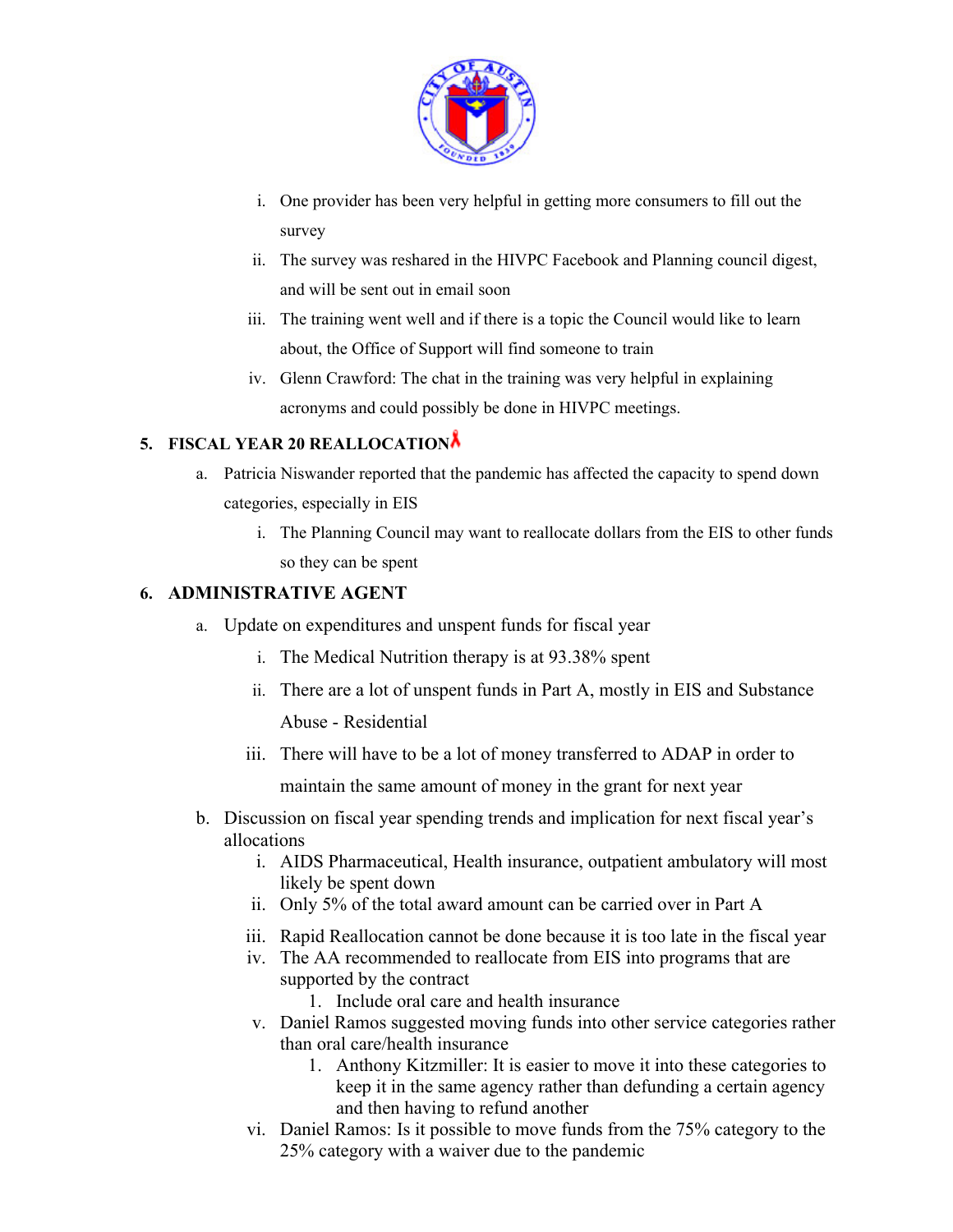

- i. One provider has been very helpful in getting more consumers to fill out the survey
- ii. The survey was reshared in the HIVPC Facebook and Planning council digest, and will be sent out in email soon
- iii. The training went well and if there is a topic the Council would like to learn about, the Office of Support will find someone to train
- iv. Glenn Crawford: The chat in the training was very helpful in explaining acronyms and could possibly be done in HIVPC meetings.

# **5. FISCAL YEAR 20 REALLOCATION**

- a. Patricia Niswander reported that the pandemic has affected the capacity to spend down categories, especially in EIS
	- i. The Planning Council may want to reallocate dollars from the EIS to other funds so they can be spent

## **6. ADMINISTRATIVE AGENT**

- a. Update on expenditures and unspent funds for fiscal year
	- i. The Medical Nutrition therapy is at 93.38% spent
	- ii. There are a lot of unspent funds in Part A, mostly in EIS and Substance

Abuse - Residential

iii. There will have to be a lot of money transferred to ADAP in order to

maintain the same amount of money in the grant for next year

- b. Discussion on fiscal year spending trends and implication for next fiscal year's allocations
	- i. AIDS Pharmaceutical, Health insurance, outpatient ambulatory will most likely be spent down
	- ii. Only 5% of the total award amount can be carried over in Part A
	- iii. Rapid Reallocation cannot be done because it is too late in the fiscal year
	- iv. The AA recommended to reallocate from EIS into programs that are supported by the contract
		- 1. Include oral care and health insurance
	- v. Daniel Ramos suggested moving funds into other service categories rather than oral care/health insurance
		- 1. Anthony Kitzmiller: It is easier to move it into these categories to keep it in the same agency rather than defunding a certain agency and then having to refund another
	- vi. Daniel Ramos: Is it possible to move funds from the 75% category to the 25% category with a waiver due to the pandemic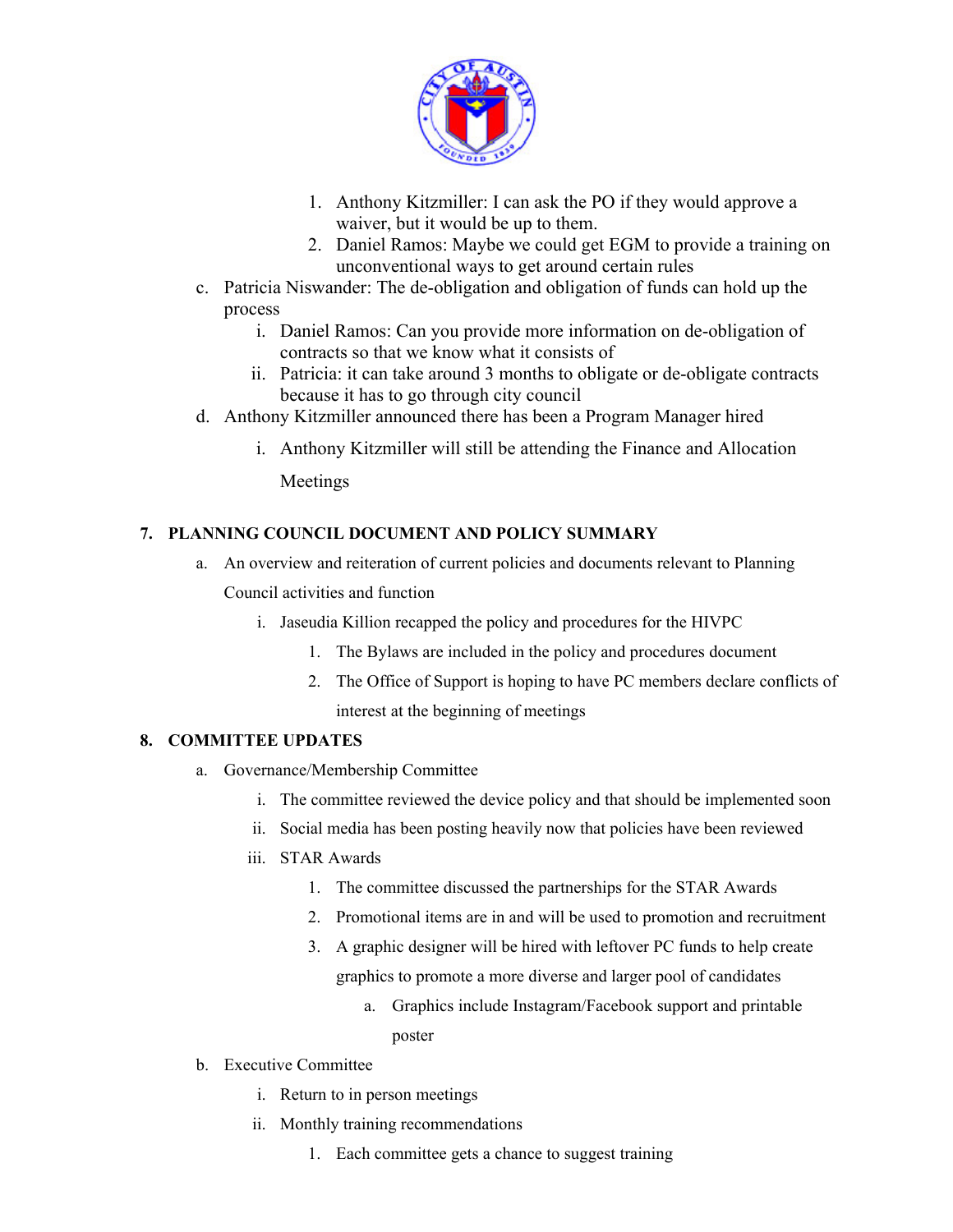

- 1. Anthony Kitzmiller: I can ask the PO if they would approve a waiver, but it would be up to them.
- 2. Daniel Ramos: Maybe we could get EGM to provide a training on unconventional ways to get around certain rules
- c. Patricia Niswander: The de-obligation and obligation of funds can hold up the process
	- i. Daniel Ramos: Can you provide more information on de-obligation of contracts so that we know what it consists of
	- ii. Patricia: it can take around 3 months to obligate or de-obligate contracts because it has to go through city council
- d. Anthony Kitzmiller announced there has been a Program Manager hired
	- i. Anthony Kitzmiller will still be attending the Finance and Allocation Meetings

### **7. PLANNING COUNCIL DOCUMENT AND POLICY SUMMARY**

- a. An overview and reiteration of current policies and documents relevant to Planning Council activities and function
	- i. Jaseudia Killion recapped the policy and procedures for the HIVPC
		- 1. The Bylaws are included in the policy and procedures document
		- 2. The Office of Support is hoping to have PC members declare conflicts of interest at the beginning of meetings

#### **8. COMMITTEE UPDATES**

- a. Governance/Membership Committee
	- i. The committee reviewed the device policy and that should be implemented soon
	- ii. Social media has been posting heavily now that policies have been reviewed
	- iii. STAR Awards
		- 1. The committee discussed the partnerships for the STAR Awards
		- 2. Promotional items are in and will be used to promotion and recruitment
		- 3. A graphic designer will be hired with leftover PC funds to help create graphics to promote a more diverse and larger pool of candidates
			- a. Graphics include Instagram/Facebook support and printable poster
- b. Executive Committee
	- i. Return to in person meetings
	- ii. Monthly training recommendations
		- 1. Each committee gets a chance to suggest training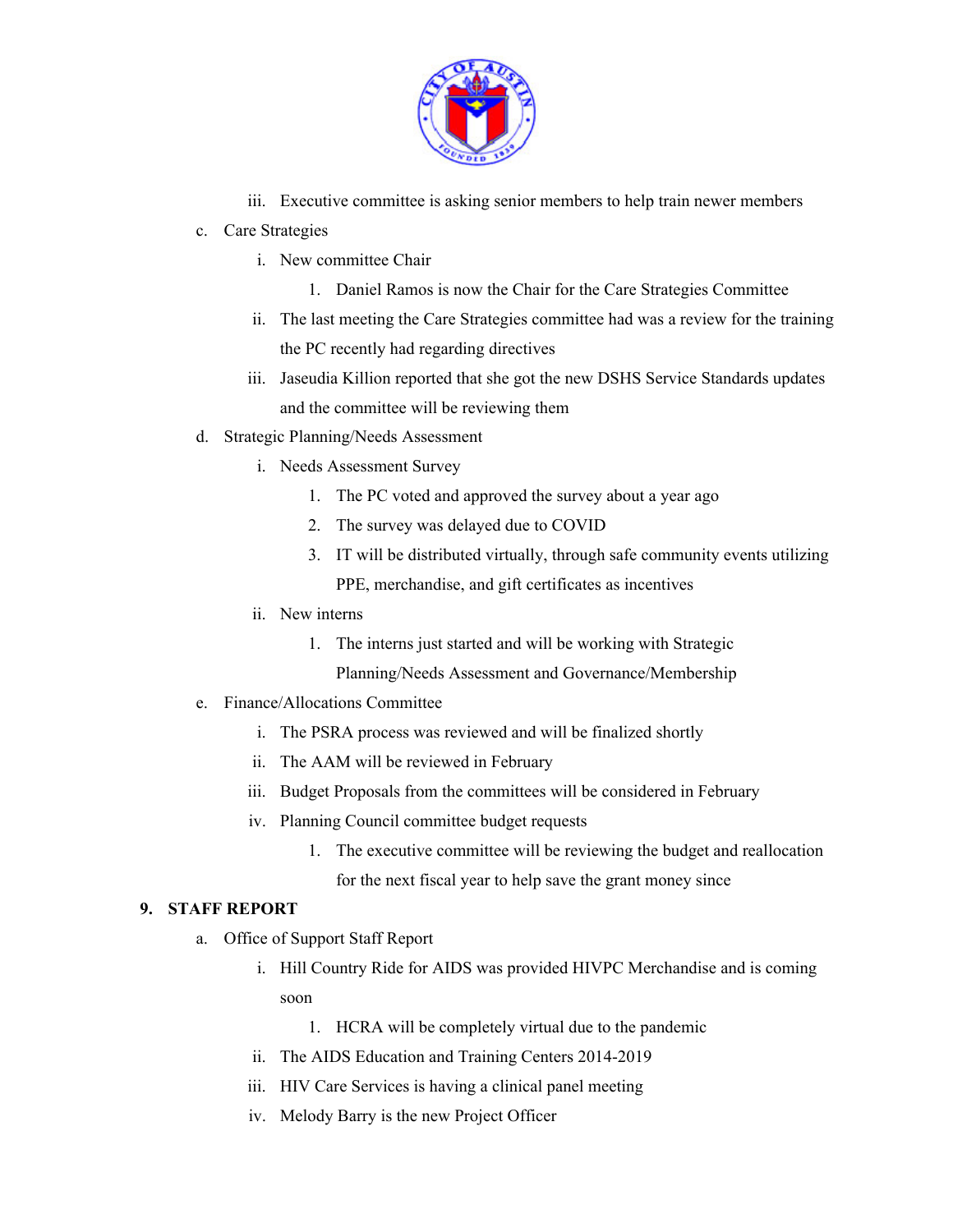

- iii. Executive committee is asking senior members to help train newer members
- c. Care Strategies
	- i. New committee Chair
		- 1. Daniel Ramos is now the Chair for the Care Strategies Committee
	- ii. The last meeting the Care Strategies committee had was a review for the training the PC recently had regarding directives
	- iii. Jaseudia Killion reported that she got the new DSHS Service Standards updates and the committee will be reviewing them
- d. Strategic Planning/Needs Assessment
	- i. Needs Assessment Survey
		- 1. The PC voted and approved the survey about a year ago
		- 2. The survey was delayed due to COVID
		- 3. IT will be distributed virtually, through safe community events utilizing PPE, merchandise, and gift certificates as incentives
	- ii. New interns
		- 1. The interns just started and will be working with Strategic Planning/Needs Assessment and Governance/Membership
- e. Finance/Allocations Committee
	- i. The PSRA process was reviewed and will be finalized shortly
	- ii. The AAM will be reviewed in February
	- iii. Budget Proposals from the committees will be considered in February
	- iv. Planning Council committee budget requests
		- 1. The executive committee will be reviewing the budget and reallocation for the next fiscal year to help save the grant money since

### **9. STAFF REPORT**

- a. Office of Support Staff Report
	- i. Hill Country Ride for AIDS was provided HIVPC Merchandise and is coming soon
		- 1. HCRA will be completely virtual due to the pandemic
	- ii. The AIDS Education and Training Centers 2014-2019
	- iii. HIV Care Services is having a clinical panel meeting
	- iv. Melody Barry is the new Project Officer